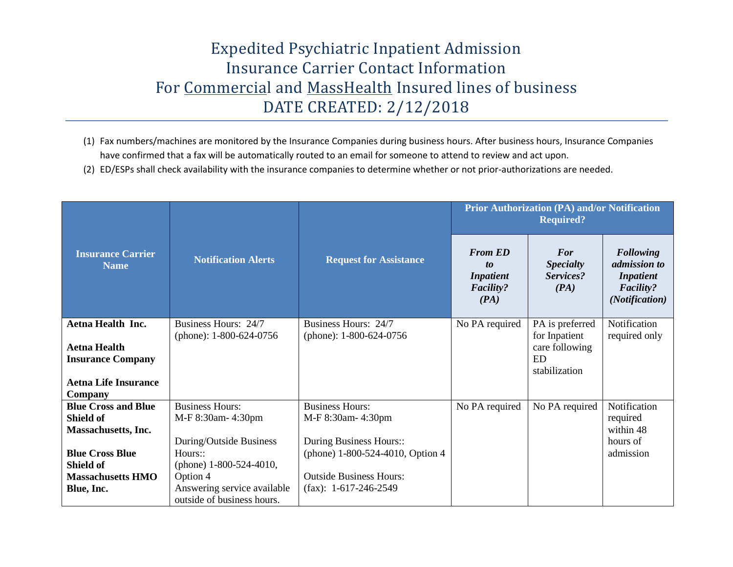## Expedited Psychiatric Inpatient Admission Insurance Carrier Contact Information For Commercial and MassHealth Insured lines of business DATE CREATED: 2/12/2018

- (1) Fax numbers/machines are monitored by the Insurance Companies during business hours. After business hours, Insurance Companies have confirmed that a fax will be automatically routed to an email for someone to attend to review and act upon.
- (2) ED/ESPs shall check availability with the insurance companies to determine whether or not prior-authorizations are needed.

| <b>Insurance Carrier</b><br><b>Name</b>                                                        | <b>Notification Alerts</b>                                                |                                                                                               | <b>Prior Authorization (PA) and/or Notification</b><br><b>Required?</b> |                                                         |                                                                                            |  |
|------------------------------------------------------------------------------------------------|---------------------------------------------------------------------------|-----------------------------------------------------------------------------------------------|-------------------------------------------------------------------------|---------------------------------------------------------|--------------------------------------------------------------------------------------------|--|
|                                                                                                |                                                                           | <b>Request for Assistance</b>                                                                 | <b>From ED</b><br>to<br><b>Inpatient</b><br><b>Facility?</b><br>(PA)    | For<br><b>Specialty</b><br>Services?<br>(PA)            | <b>Following</b><br>admission to<br><i>Inpatient</i><br><b>Facility?</b><br>(Notification) |  |
| <b>Aetna Health Inc.</b>                                                                       | Business Hours: 24/7                                                      | Business Hours: 24/7                                                                          | No PA required                                                          | PA is preferred                                         | Notification                                                                               |  |
| <b>Aetna Health</b><br><b>Insurance Company</b><br><b>Aetna Life Insurance</b><br>Company      | (phone): $1-800-624-0756$                                                 | (phone): $1-800-624-0756$                                                                     |                                                                         | for Inpatient<br>care following<br>ED.<br>stabilization | required only                                                                              |  |
| <b>Blue Cross and Blue</b>                                                                     | <b>Business Hours:</b>                                                    | <b>Business Hours:</b>                                                                        | No PA required                                                          | No PA required                                          | Notification                                                                               |  |
| Shield of                                                                                      | M-F 8:30am-4:30pm                                                         | M-F 8:30am-4:30pm                                                                             |                                                                         |                                                         | required                                                                                   |  |
| <b>Massachusetts</b> , Inc.<br><b>Blue Cross Blue</b><br>Shield of<br><b>Massachusetts HMO</b> | During/Outside Business<br>Hours::<br>(phone) 1-800-524-4010,<br>Option 4 | During Business Hours::<br>(phone) 1-800-524-4010, Option 4<br><b>Outside Business Hours:</b> |                                                                         |                                                         | within 48<br>hours of<br>admission                                                         |  |
| Blue, Inc.                                                                                     | Answering service available<br>outside of business hours.                 | $(fax): 1-617-246-2549$                                                                       |                                                                         |                                                         |                                                                                            |  |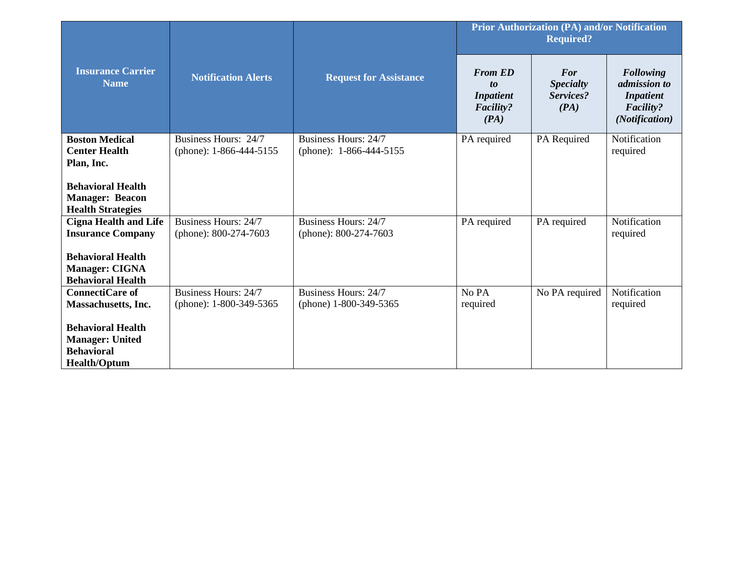| <b>Insurance Carrier</b><br><b>Name</b>                                       |                                                   |                                                 | <b>Prior Authorization (PA) and/or Notification</b><br><b>Required?</b>        |                                              |                                                                                                   |  |
|-------------------------------------------------------------------------------|---------------------------------------------------|-------------------------------------------------|--------------------------------------------------------------------------------|----------------------------------------------|---------------------------------------------------------------------------------------------------|--|
|                                                                               | <b>Notification Alerts</b>                        | <b>Request for Assistance</b>                   | <b>From ED</b><br>$\mathbf{t}$<br><b>Inpatient</b><br><b>Facility?</b><br>(PA) | For<br><b>Specialty</b><br>Services?<br>(PA) | <b>Following</b><br><i>admission to</i><br><b>Inpatient</b><br><b>Facility?</b><br>(Notification) |  |
| <b>Boston Medical</b><br><b>Center Health</b>                                 | Business Hours: 24/7<br>(phone): $1-866-444-5155$ | Business Hours: 24/7<br>(phone): 1-866-444-5155 | PA required                                                                    | PA Required                                  | Notification<br>required                                                                          |  |
| Plan, Inc.                                                                    |                                                   |                                                 |                                                                                |                                              |                                                                                                   |  |
| <b>Behavioral Health</b>                                                      |                                                   |                                                 |                                                                                |                                              |                                                                                                   |  |
| <b>Manager: Beacon</b><br><b>Health Strategies</b>                            |                                                   |                                                 |                                                                                |                                              |                                                                                                   |  |
| <b>Cigna Health and Life</b>                                                  | Business Hours: 24/7                              | Business Hours: 24/7                            | PA required                                                                    | PA required                                  | Notification                                                                                      |  |
| <b>Insurance Company</b>                                                      | (phone): 800-274-7603                             | (phone): 800-274-7603                           |                                                                                |                                              | required                                                                                          |  |
| <b>Behavioral Health</b><br><b>Manager: CIGNA</b><br><b>Behavioral Health</b> |                                                   |                                                 |                                                                                |                                              |                                                                                                   |  |
| <b>ConnectiCare of</b>                                                        | Business Hours: 24/7                              | <b>Business Hours: 24/7</b>                     | No PA                                                                          | No PA required                               | Notification                                                                                      |  |
| <b>Massachusetts, Inc.</b>                                                    | (phone): 1-800-349-5365                           | (phone) 1-800-349-5365                          | required                                                                       |                                              | required                                                                                          |  |
| <b>Behavioral Health</b>                                                      |                                                   |                                                 |                                                                                |                                              |                                                                                                   |  |
| <b>Manager: United</b><br><b>Behavioral</b>                                   |                                                   |                                                 |                                                                                |                                              |                                                                                                   |  |
| <b>Health/Optum</b>                                                           |                                                   |                                                 |                                                                                |                                              |                                                                                                   |  |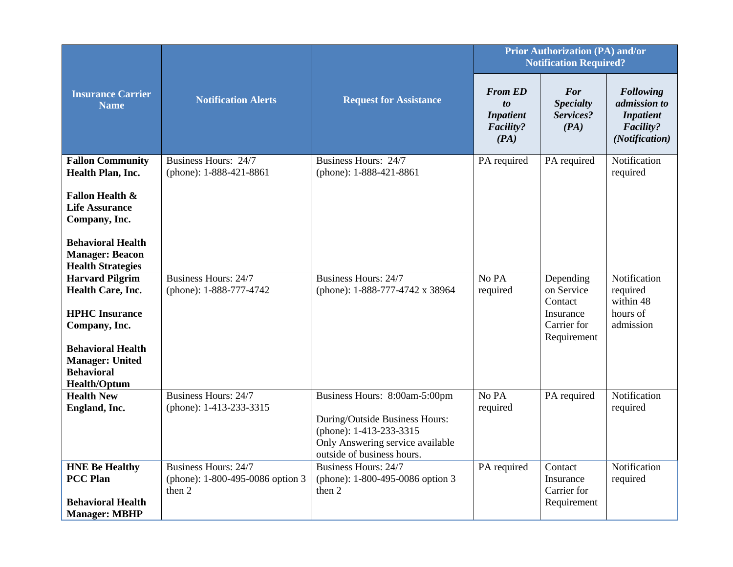|                                                                                                                                                                                         |                                                                           |                                                                                                                                                              | <b>Prior Authorization (PA) and/or</b><br><b>Notification Required?</b>      |                                                                               |                                                                                     |
|-----------------------------------------------------------------------------------------------------------------------------------------------------------------------------------------|---------------------------------------------------------------------------|--------------------------------------------------------------------------------------------------------------------------------------------------------------|------------------------------------------------------------------------------|-------------------------------------------------------------------------------|-------------------------------------------------------------------------------------|
| <b>Insurance Carrier</b><br><b>Name</b>                                                                                                                                                 | <b>Notification Alerts</b>                                                | <b>Request for Assistance</b>                                                                                                                                | <b>From ED</b><br>$\boldsymbol{to}$<br><b>Inpatient</b><br>Facility?<br>(PA) | <b>For</b><br><b>Specialty</b><br>Services?<br>(PA)                           | <b>Following</b><br>admission to<br><b>Inpatient</b><br>Facility?<br>(Notification) |
| <b>Fallon Community</b><br>Health Plan, Inc.                                                                                                                                            | Business Hours: 24/7<br>(phone): 1-888-421-8861                           | Business Hours: 24/7<br>(phone): 1-888-421-8861                                                                                                              | PA required                                                                  | PA required                                                                   | Notification<br>required                                                            |
| <b>Fallon Health &amp;</b><br><b>Life Assurance</b><br>Company, Inc.<br><b>Behavioral Health</b><br><b>Manager: Beacon</b><br><b>Health Strategies</b>                                  |                                                                           |                                                                                                                                                              |                                                                              |                                                                               |                                                                                     |
| <b>Harvard Pilgrim</b><br>Health Care, Inc.<br><b>HPHC</b> Insurance<br>Company, Inc.<br><b>Behavioral Health</b><br><b>Manager: United</b><br><b>Behavioral</b><br><b>Health/Optum</b> | Business Hours: 24/7<br>(phone): 1-888-777-4742                           | Business Hours: 24/7<br>(phone): 1-888-777-4742 x 38964                                                                                                      | No PA<br>required                                                            | Depending<br>on Service<br>Contact<br>Insurance<br>Carrier for<br>Requirement | Notification<br>required<br>within 48<br>hours of<br>admission                      |
| <b>Health New</b><br>England, Inc.                                                                                                                                                      | <b>Business Hours: 24/7</b><br>(phone): 1-413-233-3315                    | Business Hours: 8:00am-5:00pm<br>During/Outside Business Hours:<br>(phone): 1-413-233-3315<br>Only Answering service available<br>outside of business hours. | No PA<br>required                                                            | PA required                                                                   | Notification<br>required                                                            |
| <b>HNE Be Healthy</b><br><b>PCC Plan</b><br><b>Behavioral Health</b><br><b>Manager: MBHP</b>                                                                                            | <b>Business Hours: 24/7</b><br>(phone): 1-800-495-0086 option 3<br>then 2 | <b>Business Hours: 24/7</b><br>(phone): 1-800-495-0086 option 3<br>then 2                                                                                    | PA required                                                                  | Contact<br>Insurance<br>Carrier for<br>Requirement                            | Notification<br>required                                                            |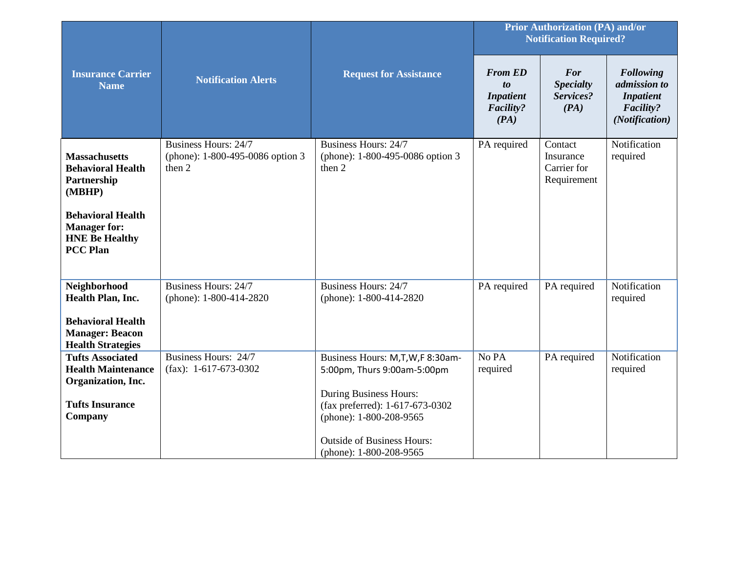|                                                                                                                                                                          |                                                                    |                                                                                             | <b>Prior Authorization (PA) and/or</b><br><b>Notification Required?</b>             |                                                    |                                                                                            |
|--------------------------------------------------------------------------------------------------------------------------------------------------------------------------|--------------------------------------------------------------------|---------------------------------------------------------------------------------------------|-------------------------------------------------------------------------------------|----------------------------------------------------|--------------------------------------------------------------------------------------------|
| <b>Insurance Carrier</b><br><b>Name</b>                                                                                                                                  | <b>Notification Alerts</b>                                         | <b>Request for Assistance</b>                                                               | <b>From ED</b><br>$\boldsymbol{to}$<br><b>Inpatient</b><br><b>Facility?</b><br>(PA) | For<br><b>Specialty</b><br>Services?<br>(PA)       | <b>Following</b><br>admission to<br><b>Inpatient</b><br><b>Facility?</b><br>(Notification) |
| <b>Massachusetts</b><br><b>Behavioral Health</b><br>Partnership<br>(MBHP)<br><b>Behavioral Health</b><br><b>Manager for:</b><br><b>HNE Be Healthy</b><br><b>PCC Plan</b> | Business Hours: 24/7<br>(phone): 1-800-495-0086 option 3<br>then 2 | <b>Business Hours: 24/7</b><br>(phone): 1-800-495-0086 option 3<br>then 2                   | PA required                                                                         | Contact<br>Insurance<br>Carrier for<br>Requirement | Notification<br>required                                                                   |
|                                                                                                                                                                          | Business Hours: 24/7                                               | Business Hours: 24/7                                                                        |                                                                                     |                                                    | Notification                                                                               |
| Neighborhood<br>Health Plan, Inc.                                                                                                                                        | (phone): 1-800-414-2820                                            | (phone): 1-800-414-2820                                                                     | PA required                                                                         | PA required                                        | required                                                                                   |
| <b>Behavioral Health</b><br><b>Manager: Beacon</b><br><b>Health Strategies</b>                                                                                           |                                                                    |                                                                                             |                                                                                     |                                                    |                                                                                            |
| <b>Tufts Associated</b><br><b>Health Maintenance</b><br>Organization, Inc.                                                                                               | Business Hours: 24/7<br>$(fax): 1-617-673-0302$                    | Business Hours: M,T,W,F 8:30am-<br>5:00pm, Thurs 9:00am-5:00pm                              | No PA<br>required                                                                   | PA required                                        | Notification<br>required                                                                   |
| <b>Tufts Insurance</b><br>Company                                                                                                                                        |                                                                    | <b>During Business Hours:</b><br>(fax preferred): 1-617-673-0302<br>(phone): 1-800-208-9565 |                                                                                     |                                                    |                                                                                            |
|                                                                                                                                                                          |                                                                    | <b>Outside of Business Hours:</b><br>(phone): 1-800-208-9565                                |                                                                                     |                                                    |                                                                                            |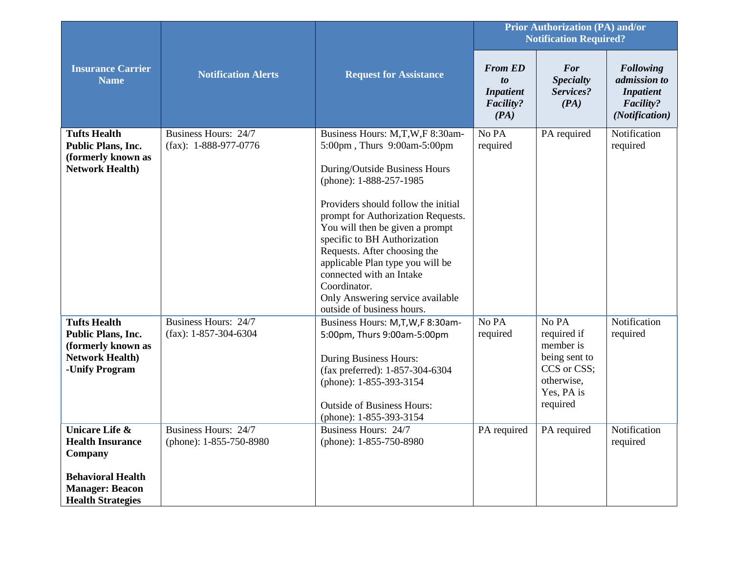|                                                                                                                                                   | <b>Notification Alerts</b>                      | <b>Request for Assistance</b>                                                                                                                                                                                                                                                                                                                                                                                                                                | <b>Prior Authorization (PA) and/or</b><br><b>Notification Required?</b>             |                                                                                                           |                                                                                     |
|---------------------------------------------------------------------------------------------------------------------------------------------------|-------------------------------------------------|--------------------------------------------------------------------------------------------------------------------------------------------------------------------------------------------------------------------------------------------------------------------------------------------------------------------------------------------------------------------------------------------------------------------------------------------------------------|-------------------------------------------------------------------------------------|-----------------------------------------------------------------------------------------------------------|-------------------------------------------------------------------------------------|
| <b>Insurance Carrier</b><br><b>Name</b>                                                                                                           |                                                 |                                                                                                                                                                                                                                                                                                                                                                                                                                                              | <b>From ED</b><br>$\boldsymbol{to}$<br><b>Inpatient</b><br><b>Facility?</b><br>(PA) | <b>For</b><br><b>Specialty</b><br>Services?<br>(PA)                                                       | <b>Following</b><br>admission to<br><b>Inpatient</b><br>Facility?<br>(Notification) |
| <b>Tufts Health</b><br><b>Public Plans, Inc.</b><br>(formerly known as<br><b>Network Health)</b>                                                  | Business Hours: 24/7<br>$(fax): 1-888-977-0776$ | Business Hours: M,T,W,F 8:30am-<br>5:00pm, Thurs 9:00am-5:00pm<br>During/Outside Business Hours<br>(phone): 1-888-257-1985<br>Providers should follow the initial<br>prompt for Authorization Requests.<br>You will then be given a prompt<br>specific to BH Authorization<br>Requests. After choosing the<br>applicable Plan type you will be<br>connected with an Intake<br>Coordinator.<br>Only Answering service available<br>outside of business hours. | No PA<br>required                                                                   | PA required                                                                                               | Notification<br>required                                                            |
| <b>Tufts Health</b><br>Public Plans, Inc.<br>(formerly known as<br><b>Network Health)</b><br>-Unify Program                                       | Business Hours: 24/7<br>$(fax): 1-857-304-6304$ | Business Hours: M,T,W,F 8:30am-<br>5:00pm, Thurs 9:00am-5:00pm<br><b>During Business Hours:</b><br>(fax preferred): 1-857-304-6304<br>(phone): 1-855-393-3154<br><b>Outside of Business Hours:</b><br>(phone): 1-855-393-3154                                                                                                                                                                                                                                | No PA<br>required                                                                   | No PA<br>required if<br>member is<br>being sent to<br>CCS or CSS;<br>otherwise.<br>Yes, PA is<br>required | Notification<br>required                                                            |
| <b>Unicare Life &amp;</b><br><b>Health Insurance</b><br>Company<br><b>Behavioral Health</b><br><b>Manager: Beacon</b><br><b>Health Strategies</b> | Business Hours: 24/7<br>(phone): 1-855-750-8980 | Business Hours: 24/7<br>(phone): 1-855-750-8980                                                                                                                                                                                                                                                                                                                                                                                                              | PA required                                                                         | PA required                                                                                               | Notification<br>required                                                            |